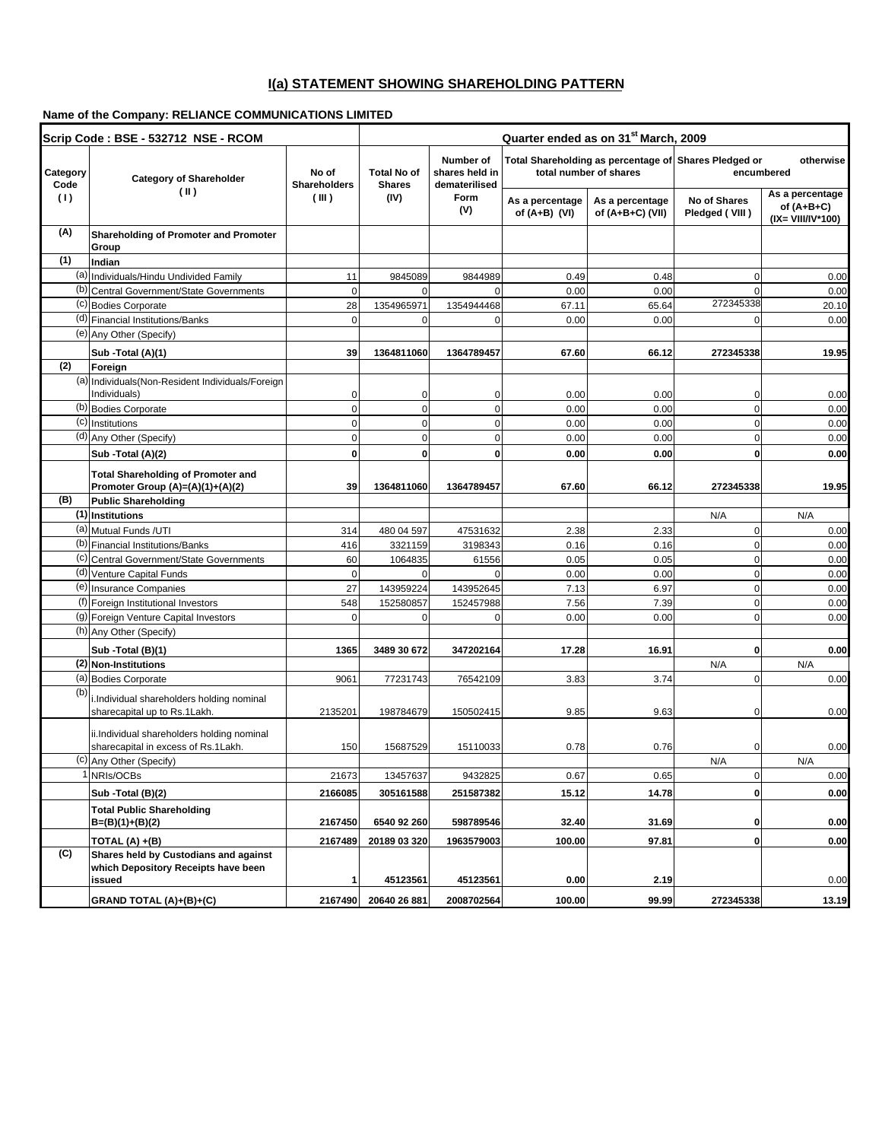## **I(a) STATEMENT SHOWING SHAREHOLDING PATTERN**

# **Name of the Company: RELIANCE COMMUNICATIONS LIMITED**

| Scrip Code: BSE - 532712 NSE - RCOM |                                                                                           |             | Quarter ended as on 31 <sup>st</sup> March, 2009 |                                                     |                                                                                 |                                |                                                    |       |
|-------------------------------------|-------------------------------------------------------------------------------------------|-------------|--------------------------------------------------|-----------------------------------------------------|---------------------------------------------------------------------------------|--------------------------------|----------------------------------------------------|-------|
| Category<br>Code                    | No of<br><b>Category of Shareholder</b><br><b>Shareholders</b><br>$(\mathbb{I})$<br>(III) |             | <b>Total No of</b><br><b>Shares</b>              | <b>Number of</b><br>shares held in<br>dematerilised | Total Shareholding as percentage of Shares Pledged or<br>total number of shares |                                | otherwise<br>encumbered                            |       |
| (1)                                 |                                                                                           | (IV)        | Form<br>(V)                                      | As a percentage<br>of $(A+B)$ (VI)                  | As a percentage<br>of $(A+B+C)$ (VII)                                           | No of Shares<br>Pledged (VIII) | As a percentage<br>of (A+B+C)<br>(IX= VIII/IV*100) |       |
| (A)                                 | <b>Shareholding of Promoter and Promoter</b><br>Group                                     |             |                                                  |                                                     |                                                                                 |                                |                                                    |       |
| (1)                                 | Indian                                                                                    |             |                                                  |                                                     |                                                                                 |                                |                                                    |       |
|                                     | (a) Individuals/Hindu Undivided Family                                                    | 11          | 9845089                                          | 9844989                                             | 0.49                                                                            | 0.48                           | $\mathbf 0$                                        | 0.00  |
|                                     | (b) Central Government/State Governments                                                  | $\pmb{0}$   | $\Omega$                                         | $\Omega$                                            | 0.00                                                                            | 0.00                           | $\Omega$                                           | 0.00  |
|                                     | (c) Bodies Corporate                                                                      | 28          | 1354965971                                       | 1354944468                                          | 67.11                                                                           | 65.64                          | 272345338                                          | 20.10 |
|                                     | (d) Financial Institutions/Banks                                                          | 0           | $\mathbf 0$                                      | $\Omega$                                            | 0.00                                                                            | 0.00                           | $\Omega$                                           | 0.00  |
|                                     | (e) Any Other (Specify)                                                                   |             |                                                  |                                                     |                                                                                 |                                |                                                    |       |
|                                     | Sub -Total (A)(1)                                                                         | 39          | 1364811060                                       | 1364789457                                          | 67.60                                                                           | 66.12                          | 272345338                                          | 19.95 |
| (2)                                 | Foreign                                                                                   |             |                                                  |                                                     |                                                                                 |                                |                                                    |       |
|                                     | (a) Individuals (Non-Resident Individuals/Foreign                                         |             |                                                  |                                                     |                                                                                 |                                |                                                    |       |
|                                     | Individuals)                                                                              | 0           | 0                                                | 0                                                   | 0.00                                                                            | 0.00                           | 0                                                  | 0.00  |
|                                     | (b) Bodies Corporate                                                                      | 0           | 0                                                | $\mathbf 0$                                         | 0.00                                                                            | 0.00                           | $\mathbf 0$                                        | 0.00  |
|                                     | $\overline{(c)}$ Institutions                                                             | $\mathbf 0$ | $\overline{0}$                                   | $\mathbf 0$                                         | 0.00                                                                            | 0.00                           | $\mathbf 0$                                        | 0.00  |
|                                     | (d) Any Other (Specify)                                                                   | 0           | $\mathbf 0$                                      | $\pmb{0}$                                           | 0.00                                                                            | 0.00                           | $\mathbf 0$                                        | 0.00  |
|                                     | Sub -Total (A)(2)                                                                         | 0           | $\mathbf{0}$                                     | $\mathbf 0$                                         | 0.00                                                                            | 0.00                           | $\mathbf{0}$                                       | 0.00  |
|                                     | <b>Total Shareholding of Promoter and</b><br>Promoter Group (A)=(A)(1)+(A)(2)             | 39          | 1364811060                                       | 1364789457                                          | 67.60                                                                           | 66.12                          | 272345338                                          | 19.95 |
| (B)                                 | <b>Public Shareholding</b>                                                                |             |                                                  |                                                     |                                                                                 |                                |                                                    |       |
|                                     | (1) Institutions                                                                          |             |                                                  |                                                     |                                                                                 |                                | N/A                                                | N/A   |
|                                     | (a) Mutual Funds / UTI                                                                    | 314         | 480 04 597                                       | 47531632                                            | 2.38                                                                            | 2.33                           | $\mathbf 0$                                        | 0.00  |
|                                     | (b) Financial Institutions/Banks                                                          | 416         | 3321159                                          | 3198343                                             | 0.16                                                                            | 0.16                           | $\mathbf 0$                                        | 0.00  |
|                                     | (c) Central Government/State Governments                                                  | 60          | 1064835                                          | 61556                                               | 0.05                                                                            | 0.05                           | $\mathbf 0$                                        | 0.00  |
|                                     | (d) Venture Capital Funds                                                                 | $\mathbf 0$ | 0                                                | $\Omega$                                            | 0.00                                                                            | 0.00                           | $\mathbf 0$                                        | 0.00  |
|                                     | (e) Insurance Companies                                                                   | 27          | 143959224                                        | 143952645                                           | 7.13                                                                            | 6.97                           | $\mathbf 0$                                        | 0.00  |
|                                     | (f) Foreign Institutional Investors                                                       | 548         | 152580857                                        | 152457988                                           | 7.56                                                                            | 7.39                           | $\mathbf 0$                                        | 0.00  |
|                                     | (g) Foreign Venture Capital Investors                                                     | $\Omega$    | 0                                                | $\Omega$                                            | 0.00                                                                            | 0.00                           | $\overline{0}$                                     | 0.00  |
|                                     | (h) Any Other (Specify)                                                                   |             |                                                  |                                                     |                                                                                 |                                |                                                    |       |
|                                     | Sub -Total (B)(1)                                                                         | 1365        | 3489 30 672                                      | 347202164                                           | 17.28                                                                           | 16.91                          | 0                                                  | 0.00  |
|                                     | (2) Non-Institutions                                                                      |             |                                                  |                                                     |                                                                                 |                                | N/A                                                | N/A   |
|                                     | (a) Bodies Corporate                                                                      | 9061        | 77231743                                         | 76542109                                            | 3.83                                                                            | 3.74                           | $\mathbf 0$                                        | 0.00  |
| (b)                                 | i.Individual shareholders holding nominal<br>sharecapital up to Rs.1Lakh.                 | 2135201     | 198784679                                        | 150502415                                           | 9.85                                                                            | 9.63                           | $\mathbf 0$                                        | 0.00  |
|                                     | ii.Individual shareholders holding nominal<br>sharecapital in excess of Rs.1Lakh.         | 150         | 15687529                                         | 15110033                                            | 0.78                                                                            | 0.76                           | 0                                                  | 0.00  |
|                                     | (c) Any Other (Specify)                                                                   |             |                                                  |                                                     |                                                                                 |                                | N/A                                                | N/A   |
|                                     | NRIs/OCBs                                                                                 | 21673       | 13457637                                         | 9432825                                             | 0.67                                                                            | 0.65                           | $\overline{0}$                                     | 0.00  |
|                                     | Sub -Total (B)(2)                                                                         | 2166085     | 305161588                                        | 251587382                                           | 15.12                                                                           | 14.78                          | $\mathbf{0}$                                       | 0.00  |
|                                     | <b>Total Public Shareholding</b><br>$B=(B)(1)+(B)(2)$                                     | 2167450     | 6540 92 260                                      | 598789546                                           | 32.40                                                                           | 31.69                          | $\mathbf{0}$                                       | 0.00  |
|                                     | TOTAL (A) +(B)                                                                            | 2167489     | 20189 03 320                                     | 1963579003                                          | 100.00                                                                          | 97.81                          | $\mathbf{0}$                                       | 0.00  |
| (C)                                 | Shares held by Custodians and against<br>which Depository Receipts have been<br>issued    | 1           | 45123561                                         | 45123561                                            | 0.00                                                                            | 2.19                           |                                                    | 0.00  |
|                                     | GRAND TOTAL (A)+(B)+(C)                                                                   | 2167490     | 20640 26 881                                     | 2008702564                                          | 100.00                                                                          | 99.99                          | 272345338                                          | 13.19 |
|                                     |                                                                                           |             |                                                  |                                                     |                                                                                 |                                |                                                    |       |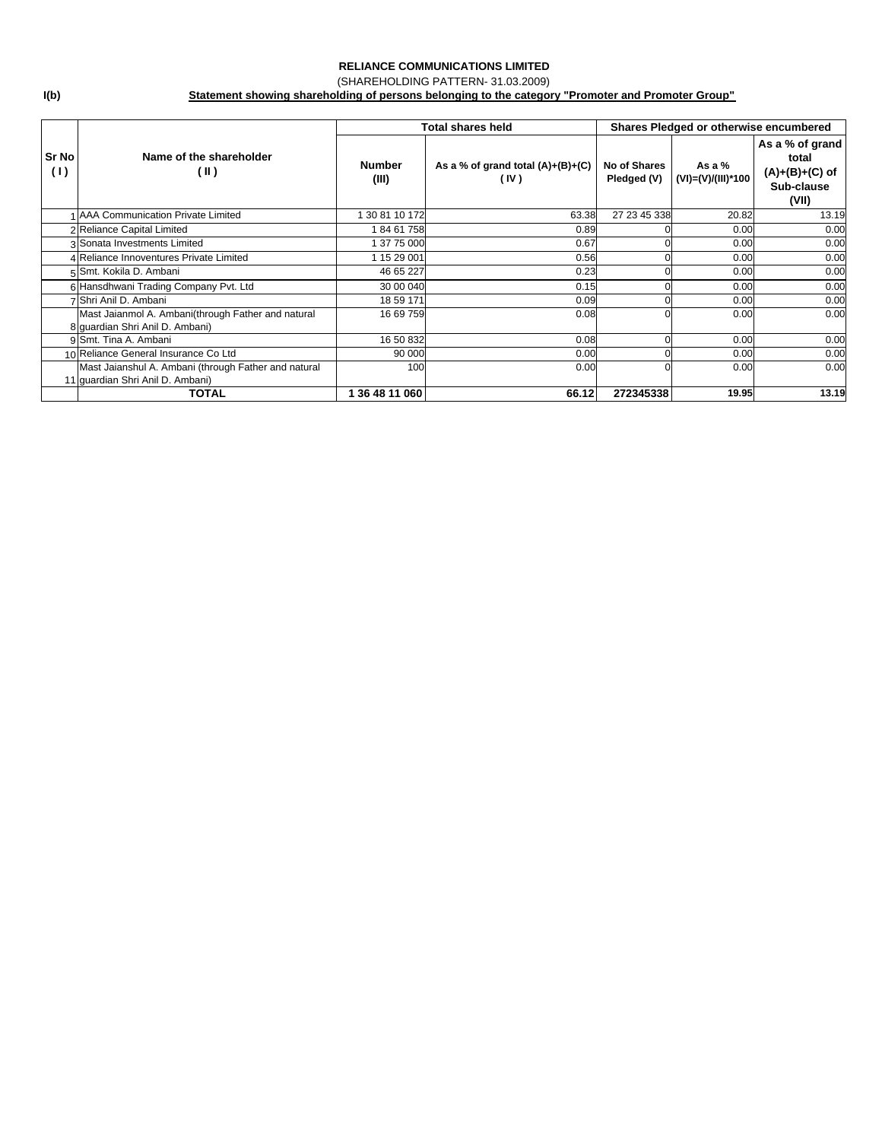(SHAREHOLDING PATTERN- 31.03.2009)

## **Statement showing shareholding of persons belonging to the category "Promoter and Promoter Group"**

|              |                                                                                          |                        | Total shares held                           | Shares Pledged or otherwise encumbered |                                |                                                                     |
|--------------|------------------------------------------------------------------------------------------|------------------------|---------------------------------------------|----------------------------------------|--------------------------------|---------------------------------------------------------------------|
| Sr No<br>(1) | Name of the shareholder<br>( II )                                                        | <b>Number</b><br>(III) | As a % of grand total $(A)+(B)+(C)$<br>(IV) | No of Shares<br>Pledged (V)            | As a $%$<br>(VI)=(V)/(III)*100 | As a % of grand<br>total<br>$(A)+(B)+(C)$ of<br>Sub-clause<br>(VII) |
|              | <b>AAA Communication Private Limited</b>                                                 | 1 30 81 10 172         | 63.38                                       | 27 23 45 338                           | 20.82                          | 13.19                                                               |
|              | 2 Reliance Capital Limited                                                               | 18461758               | 0.89                                        |                                        | 0.00                           | 0.00                                                                |
|              | 3 Sonata Investments Limited                                                             | 1 37 75 000            | 0.67                                        |                                        | 0.00                           | 0.00                                                                |
|              | 4 Reliance Innoventures Private Limited                                                  | 1 15 29 001            | 0.56                                        |                                        | 0.00                           | 0.00                                                                |
|              | 5 Smt. Kokila D. Ambani                                                                  | 46 65 227              | 0.23                                        |                                        | 0.00                           | 0.00                                                                |
|              | 6 Hansdhwani Trading Company Pvt. Ltd                                                    | 30 00 040              | 0.15                                        |                                        | 0.00                           | 0.00                                                                |
|              | 7 Shri Anil D. Ambani                                                                    | 18 59 171              | 0.09                                        |                                        | 0.00                           | 0.00                                                                |
|              | Mast Jaianmol A. Ambani(through Father and natural<br>8 quardian Shri Anil D. Ambani)    | 16 69 759              | 0.08                                        |                                        | 0.00                           | 0.00                                                                |
|              | 9 Smt. Tina A. Ambani                                                                    | 16 50 832              | 0.08                                        |                                        | 0.00                           | 0.00                                                                |
|              | 10 Reliance General Insurance Co Ltd                                                     | 90 000                 | 0.00                                        |                                        | 0.00                           | 0.00                                                                |
|              | Mast Jaianshul A. Ambani (through Father and natural<br>11 guardian Shri Anil D. Ambani) | 100                    | 0.00                                        |                                        | 0.00                           | 0.00                                                                |
|              | TOTAL                                                                                    | 1 36 48 11 060         | 66.12                                       | 272345338                              | 19.95                          | 13.19                                                               |

**I(b)**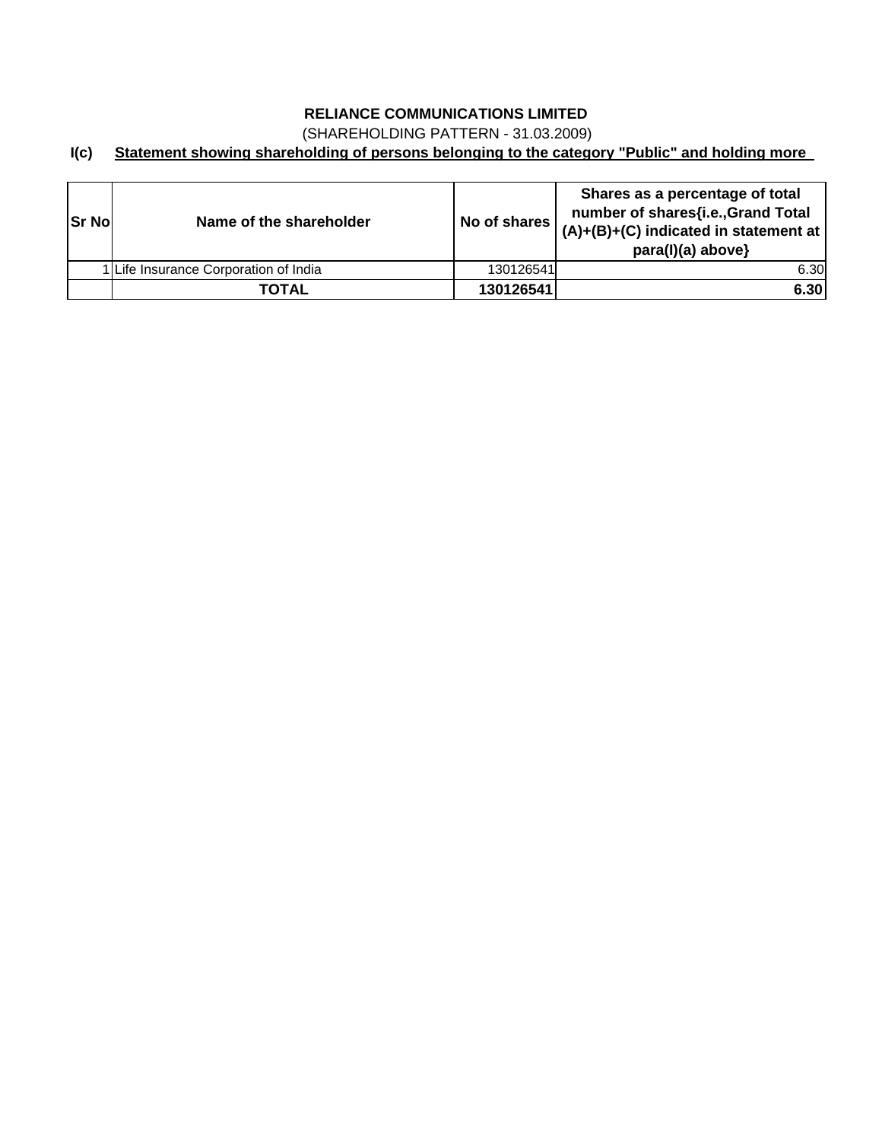## (SHAREHOLDING PATTERN - 31.03.2009)

## **I(c) Statement showing shareholding of persons belonging to the category "Public" and holding more**

| lSr Nol | Name of the shareholder               | No of shares | Shares as a percentage of total<br>number of shares{i.e., Grand Total<br>$(A)+(B)+(C)$ indicated in statement at<br>para(I)(a) above} |
|---------|---------------------------------------|--------------|---------------------------------------------------------------------------------------------------------------------------------------|
|         | 1 Life Insurance Corporation of India | 130126541    | 6.30                                                                                                                                  |
|         | TOTAL                                 | 130126541    | 6.30                                                                                                                                  |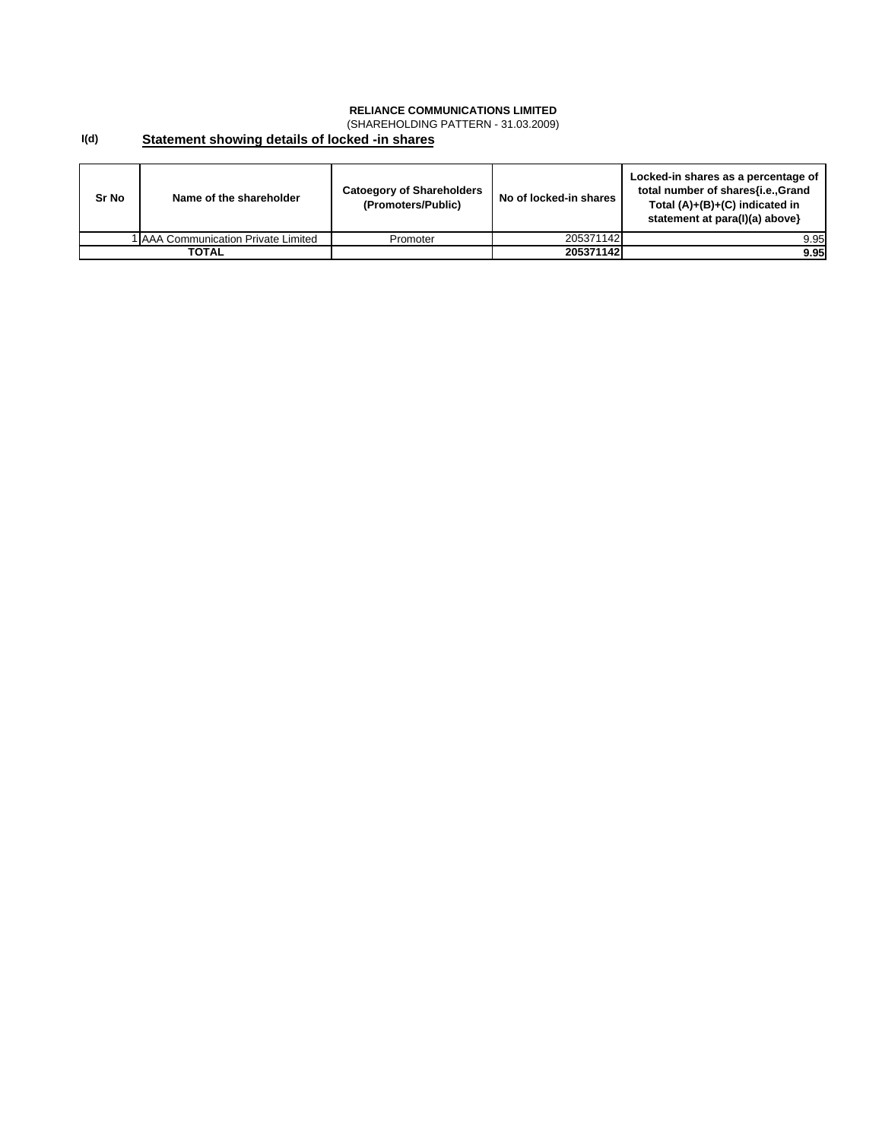(SHAREHOLDING PATTERN - 31.03.2009)

#### **I(d) Statement showing details of locked -in shares**

| Sr No | Name of the shareholder             | <b>Catoegory of Shareholders</b><br>(Promoters/Public) | No of locked-in shares | Locked-in shares as a percentage of<br>total number of shares{i.e.,Grand<br>Total (A)+(B)+(C) indicated in<br>statement at para(I)(a) above} |
|-------|-------------------------------------|--------------------------------------------------------|------------------------|----------------------------------------------------------------------------------------------------------------------------------------------|
|       | 1 AAA Communication Private Limited | Promoter                                               | 205371142              | 9.95                                                                                                                                         |
|       | TOTAL                               |                                                        | 205371142              | 9.95                                                                                                                                         |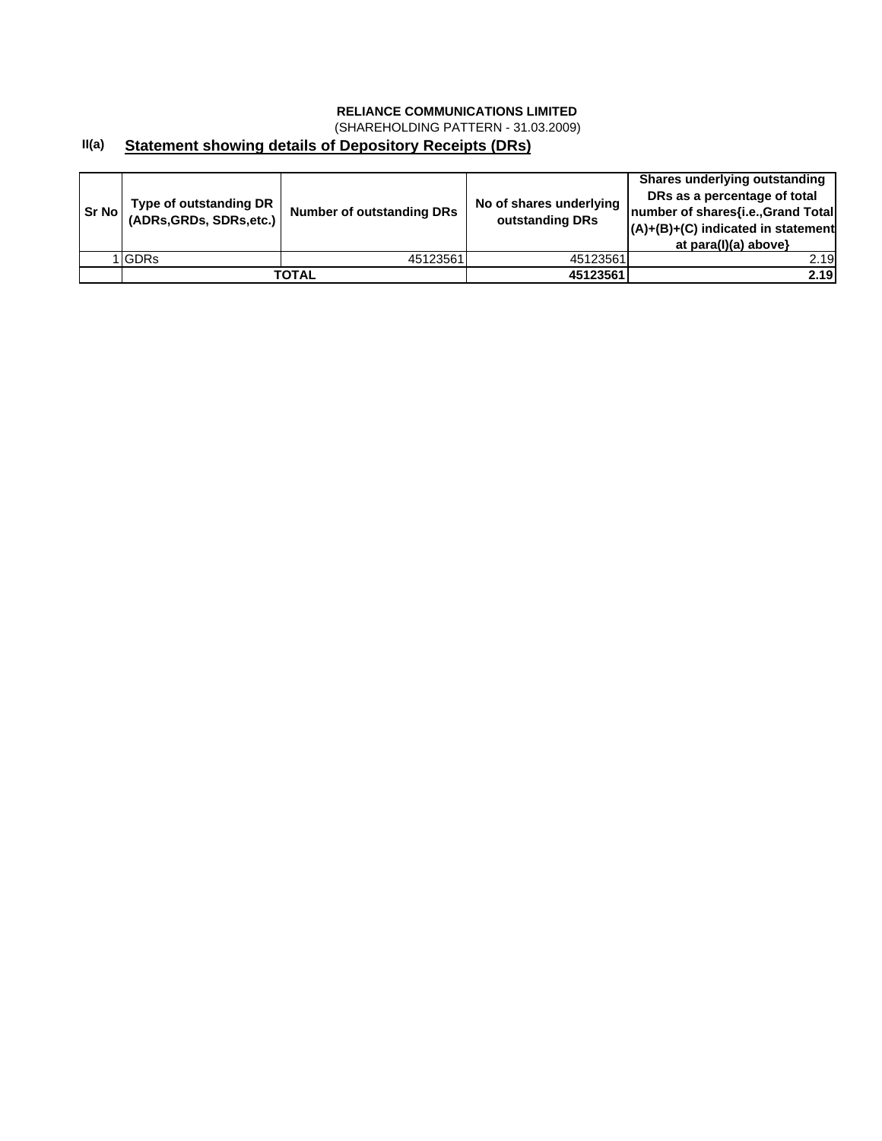(SHAREHOLDING PATTERN - 31.03.2009)

#### **II(a) Statement showing details of Depository Receipts (DRs)**

| <b>Sr No I</b> | Type of outstanding DR<br>(ADRs, GRDs, SDRs, etc.) | <b>Number of outstanding DRs</b> | No of shares underlying<br>outstanding DRs | Shares underlying outstanding<br>DRs as a percentage of total<br>number of shares{i.e., Grand Total<br>$(A)+(B)+(C)$ indicated in statement<br>at para(I)(a) above} |
|----------------|----------------------------------------------------|----------------------------------|--------------------------------------------|---------------------------------------------------------------------------------------------------------------------------------------------------------------------|
|                | <b>IGDRs</b>                                       | 45123561                         | 45123561                                   | 2.19                                                                                                                                                                |
|                |                                                    | TOTAL                            | 45123561                                   | 2.19                                                                                                                                                                |